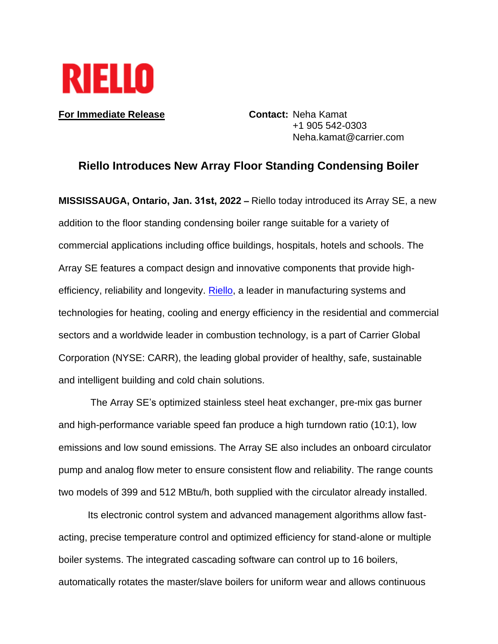

**For Immediate Release Contact: Neha Kamat** 

+1 905 542-0303 Neha.kamat@carrier.com

## **Riello Introduces New Array Floor Standing Condensing Boiler**

**MISSISSAUGA, Ontario, Jan. 31st, 2022 –** Riello today introduced its Array SE, a new addition to the floor standing condensing boiler range suitable for a variety of commercial applications including office buildings, hospitals, hotels and schools. The Array SE features a compact design and innovative components that provide high-efficiency, reliability and longevity. [Riello,](http://www.riello.com/) a leader in manufacturing systems and technologies for heating, cooling and energy efficiency in the residential and commercial sectors and a worldwide leader in combustion technology, is a part of Carrier Global Corporation (NYSE: CARR), the leading global provider of healthy, safe, sustainable and intelligent building and cold chain solutions.

The Array SE's optimized stainless steel heat exchanger, pre-mix gas burner and high-performance variable speed fan produce a high turndown ratio (10:1), low emissions and low sound emissions. The Array SE also includes an onboard circulator pump and analog flow meter to ensure consistent flow and reliability. The range counts two models of 399 and 512 MBtu/h, both supplied with the circulator already installed.

Its electronic control system and advanced management algorithms allow fastacting, precise temperature control and optimized efficiency for stand-alone or multiple boiler systems. The integrated cascading software can control up to 16 boilers, automatically rotates the master/slave boilers for uniform wear and allows continuous